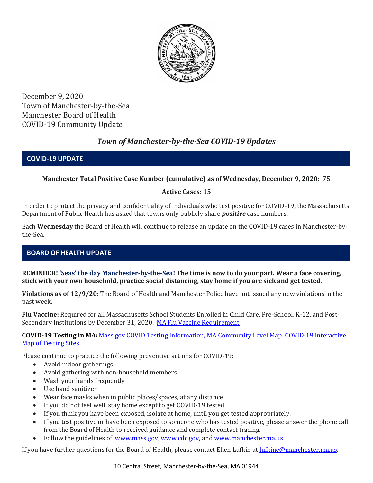

December 9, 2020 Town of Manchester-by-the-Sea Manchester Board of Health COVID-19 Community Update

# *Town of Manchester-by-the-Sea COVID-19 Updates*

### **COVID-19 UPDATE**

### **Manchester Total Positive Case Number (cumulative) as of Wednesday, December 9, 2020: 75**

### **Active Cases: 15**

In order to protect the privacy and confidentiality of individuals who test positive for COVID-19, the Massachusetts Department of Public Health has asked that towns only publicly share *positive* case numbers.

Each **Wednesday** the Board of Health will continue to release an update on the COVID-19 cases in Manchester-bythe-Sea.

### **BOARD OF HEALTH UPDATE**

**REMINDER! 'Seas' the day Manchester-by-the-Sea! The time is now to do your part. Wear a face covering, stick with your own household, practice social distancing, stay home if you are sick and get tested.** 

**Violations as of 12/9/20:** The Board of Health and Manchester Police have not issued any new violations in the past week.

**Flu Vaccine:** Required for all Massachusetts School Students Enrolled in Child Care, Pre-School, K-12, and Post-Secondary Institutions by December 31, 2020. [MA Flu Vaccine Requirement](https://www.mass.gov/news/flu-vaccine-now-required-for-all-massachusetts-school-students-enrolled-in-child-care-pre)

**COVID-19 Testing in MA:** [Mass.gov COVID Testing Information,](https://www.mass.gov/covid-19-testing) [MA Community Level Map,](https://www.mass.gov/info-details/community-level-covid-19-data-reporting) [COVID-19 Interactive](https://memamaps.maps.arcgis.com/apps/webappviewer/index.html?id=eba3f0395451430b9f631cb095febf13)  [Map of Testing Sites](https://memamaps.maps.arcgis.com/apps/webappviewer/index.html?id=eba3f0395451430b9f631cb095febf13)

Please continue to practice the following preventive actions for COVID-19:

- Avoid indoor gatherings
- Avoid gathering with non-household members
- Wash your hands frequently
- Use hand sanitizer
- Wear face masks when in public places/spaces, at any distance
- If you do not feel well, stay home except to get COVID-19 tested
- If you think you have been exposed, isolate at home, until you get tested appropriately.
- If you test positive or have been exposed to someone who has tested positive, please answer the phone call from the Board of Health to received guidance and complete contact tracing.
- Follow the guidelines of [www.mass.gov,](https://www.mass.gov/) [www.cdc.gov,](https://www.cdc.gov/) and [www.manchester.ma.us](http://www.manchester.ma.us/)

If you have further questions for the Board of Health, please contact Ellen Lufkin at [lufkine@manchester.ma.us.](mailto:lufkine@manchester.ma.us)

10 Central Street, Manchester-by-the-Sea, MA 01944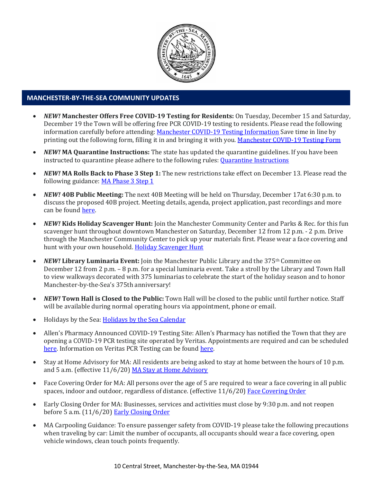

#### **MANCHESTER-BY-THE-SEA COMMUNITY UPDATES**

- *NEW!* **Manchester Offers Free COVID-19 Testing for Residents:** On Tuesday, December 15 and Saturday, December 19 the Town will be offering free PCR COVID-19 testing to residents. Please read the following information carefully before attending[: Manchester COVID-19 Testing Information](http://manchester.ma.us/DocumentCenter/View/3554/December-8-2020-Manchester-Testing-Site) Save time in line by printing out the following form, filling it in and bringing it with you. [Manchester COVID-19 Testing Form](http://manchester.ma.us/DocumentCenter/View/3559/Manchester-COVID-test-form---December-2020)
- *NEW!* **MA Quarantine Instructions:** The state has updated the quarantine guidelines. If you have been instructed to quarantine please adhere to the following rules[: Quarantine Instructions](http://manchester.ma.us/DocumentCenter/View/3558/14-10-7-day-COVID19_Quarantine-information-1272020)
- *NEW!* **MA Rolls Back to Phase 3 Step 1:** The new restrictions take effect on December 13. Please read the following guidance: [MA Phase 3 Step 1](https://www.mass.gov/news/baker-polito-administration-announces-statewide-rollback-to-phase-three-step-one-additional)
- *NEW!* **40B Public Meeting:** The next 40B Meeting will be held on Thursday, December 17at 6:30 p.m. to discuss the proposed 40B project. Meeting details, agenda, project application, past recordings and more can be foun[d here.](http://manchester.ma.us/729/40B)
- *NEW!* **Kids Holiday Scavenger Hunt:** Join the Manchester Community Center and Parks & Rec. for this fun scavenger hunt throughout downtown Manchester on Saturday, December 12 from 12 p.m. - 2 p.m. Drive through the Manchester Community Center to pick up your materials first. Please wear a face covering and hunt with your own household. [Holiday Scavenger Hunt](https://www.manchester.ma.us/DocumentCenter/View/3535/MCC-MPR-Scavenger-Hunt-Flyer-2020)
- *NEW!* Library Luminaria Event: Join the Manchester Public Library and the 375<sup>th</sup> Committee on December 12 from 2 p.m. – 8 p.m. for a special luminaria event. Take a stroll by the Library and Town Hall to view walkways decorated with 375 luminarias to celebrate the start of the holiday season and to honor Manchester-by-the-Sea's 375th anniversary!
- *NEW!* **Town Hall is Closed to the Public:** Town Hall will be closed to the public until further notice. Staff will be available during normal operating hours via appointment, phone or email.
- Holidays by the Sea: [Holidays by the Sea Calendar](https://www.manchester.ma.us/DocumentCenter/View/3534/Holidays-by-the-Sea-2020)
- Allen's Pharmacy Announced COVID-19 Testing Site: Allen's Pharmacy has notified the Town that they are opening a COVID-19 PCR testing site operated by Veritas. Appointments are required and can be scheduled [here.](https://schedule.veritasgenetics.com/) Information on Veritas PCR Testing can be found [here.](https://www.veritasgenetics.com/covid-molecular/)
- Stay at Home Advisory for MA: All residents are being asked to stay at home between the hours of 10 p.m. and 5 a.m. (effective 11/6/20) [MA Stay at Home Advisory](https://www.mass.gov/news/stay-at-home-advisory)
- Face Covering Order for MA: All persons over the age of 5 are required to wear a face covering in all public spaces, indoor and outdoor, regardless of distance. (effective 11/6/20) [Face Covering Order](http://manchester.ma.us/DocumentCenter/View/3499/Revised-Face-Coverings-Order-No-55-1?fbclid=IwAR1a7l39TKetEAZ_mA8K6saG2GZ1dRBKA9-xuJJ3tDlAVUGCp7YatZmCKEo)
- Early Closing Order for MA: Businesses, services and activities must close by 9:30 p.m. and not reopen before 5 a.m. (11/6/20) [Early Closing Order](http://manchester.ma.us/DocumentCenter/View/3497/Early-Closing-and-Alcohol-Order-No-53-1?fbclid=IwAR0HIJzh646XAhpCz_miIpRMdh-nd_BhPpuljf5k-rkQey8DCI-dVFIfMlk)
- MA Carpooling Guidance: To ensure passenger safety from COVID-19 please take the following precautions when traveling by car: Limit the number of occupants, all occupants should wear a face covering, open vehicle windows, clean touch points frequently.